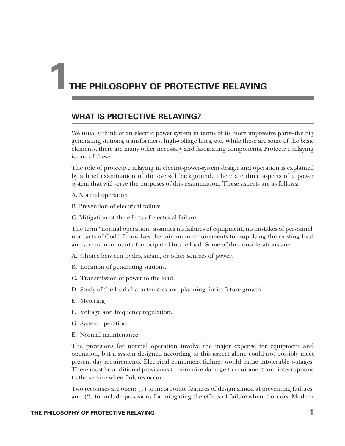# 1THE PHILOSOPHY OF PROTECTIVE RELAYING

### WHAT IS PROTECTIVE RELAYING?

We usually think of an electric power system in terms of its more impressive parts–the big generating stations, transformers, high-voltage lines, etc. While these are some of the basic elements, there are many other necessary and fascinating components. Protective relaying is one of these.

The role of protective relaying in electric-power-system design and operation is explained by a brief examination of the over-all background. There are three aspects of a power system that will serve the purposes of this examination. These aspects are as follows:

A. Normal operation

B. Prevention of electrical failure.

C. Mitigation of the effects of electrical failure.

The term "normal operation" assumes no failures of equipment, no mistakes of personnel, nor "acts of God." It involves the minimum requirements for supplying the existing load and a certain amount of anticipated future load. Some of the considerations are:

- A. Choice between hydro, steam, or other sources of power.
- B. Location of generating stations.
- C. Transmission of power to the load.
- D. Study of the load characteristics and planning for its future growth.
- E. Metering
- F. Voltage and frequency regulation.
- G. System operation.
- E. Normal maintenance.

The provisions for normal operation involve the major expense for equipment and operation, but a system designed according to this aspect alone could not possibly meet present-day requirements. Electrical equipment failures would cause intolerable outages. There must be additional provisions to minimize damage to equipment and interruptions to the service when failures occur.

Two recourses are open: (1) to incorporate features of design aimed at preventing failures, and (2) to include provisions for mitigating the effects of failure when it occurs. Modern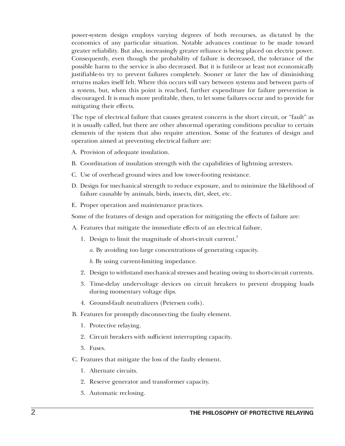power-system design employs varying degrees of both recourses, as dictated by the economics of any particular situation. Notable advances continue to be made toward greater reliability. But also, increasingly greater reliance is being placed on electric power. Consequently, even though the probability of failure is decreased, the tolerance of the possible harm to the service is also decreased. But it is futile-or at least not economically justifiable-to try to prevent failures completely. Sooner or later the law of diminishing returns makes itself felt. Where this occurs will vary between systems and between parts of a system, but, when this point is reached, further expenditure for failure prevention is discouraged. It is much more profitable, then, to let some failures occur and to provide for mitigating their effects.

The type of electrical failure that causes greatest concern is the short circuit, or "fault" as it is usually called, but there are other abnormal operating conditions peculiar to certain elements of the system that also require attention. Some of the features of design and operation aimed at preventing electrical failure are:

- A. Provision of adequate insulation.
- B. Coordination of insulation strength with the capabilities of lightning arresters.
- C. Use of overhead ground wires and low tower-footing resistance.
- D. Design for mechanical strength to reduce exposure, and to minimize the likelihood of failure causable by animals, birds, insects, dirt, sleet, etc.
- E. Proper operation and maintenance practices.

Some of the features of design and operation for mitigating the effects of failure are:

- A. Features that mitigate the immediate effects of an electrical failure.
	- 1. Design to limit the magnitude of short-circuit current.<sup>1</sup>
		- a. By avoiding too large concentrations of generating capacity.

b. By using current-limiting impedance.

- 2. Design to withstand mechanical stresses and heating owing to short-circuit currents.
- 3. Time-delay undervoltage devices on circuit breakers to prevent dropping loads during momentary voltage dips.
- 4. Ground-fault neutralizers (Petersen coils).
- B. Features for promptly disconnecting the faulty element.
	- 1. Protective relaying.
	- 2. Circuit breakers with sufficient interrupting capacity.
	- 3. Fuses.
- C. Features that mitigate the loss of the faulty element.
	- 1. Alternate circuits.
	- 2. Reserve generator and transformer capacity.
	- 3. Automatic reclosing.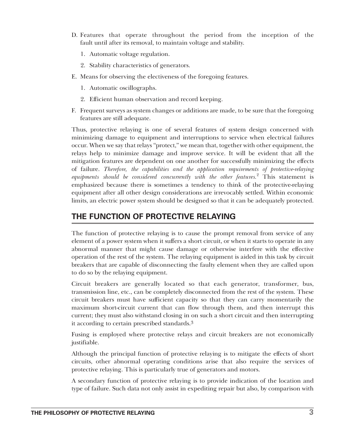- D. Features that operate throughout the period from the inception of the fault until after its removal, to maintain voltage and stability.
	- 1. Automatic voltage regulation.
	- 2. Stability characteristics of generators.
- E. Means for observing the electiveness of the foregoing features.
	- 1. Automatic oscillographs.
	- 2. Efficient human observation and record keeping.
- F. Frequent surveys as system changes or additions are made, to be sure that the foregoing features are still adequate.

Thus, protective relaying is one of several features of system design concerned with minimizing damage to equipment and interruptions to service when electrical failures occur. When we say that relays "protect," we mean that, together with other equipment, the relays help to minimize damage and improve service. It will be evident that all the mitigation features are dependent on one another for successfully minimizing the effects of failure. Therefore, the capabilities and the application requirements of protective-relaying equipments should be considered concurrently with the other features.<sup>2</sup> This statement is emphasized because there is sometimes a tendency to think of the protective-relaying equipment after all other design considerations are irrevocably settled. Within economic limits, an electric power system should be designed so that it can be adequately protected.

## THE FUNCTION OF PROTECTIVE RELAYING

The function of protective relaying is to cause the prompt removal from service of any element of a power system when it suffers a short circuit, or when it starts to operate in any abnormal manner that might cause damage or otherwise interfere with the effective operation of the rest of the system. The relaying equipment is aided in this task by circuit breakers that are capable of disconnecting the faulty element when they are called upon to do so by the relaying equipment.

Circuit breakers are generally located so that each generator, transformer, bus, transmission line, etc., can be completely disconnected from the rest of the system. These circuit breakers must have sufficient capacity so that they can carry momentarily the maximum short-circuit current that can flow through them, and then interrupt this current; they must also withstand closing in on such a short circuit and then interrupting it according to certain prescribed standards.3

Fusing is employed where protective relays and circuit breakers are not economically justifiable.

Although the principal function of protective relaying is to mitigate the effects of short circuits, other abnormal operating conditions arise that also require the services of protective relaying. This is particularly true of generators and motors.

A secondary function of protective relaying is to provide indication of the location and type of failure. Such data not only assist in expediting repair but also, by comparison with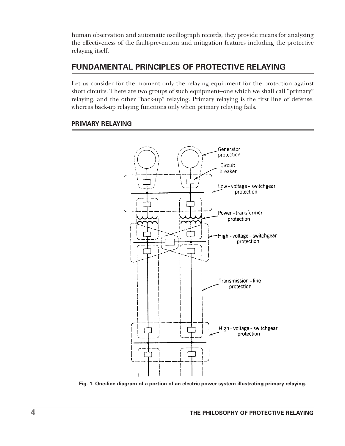human observation and automatic oscillograph records, they provide means for analyzing the effectiveness of the fault-prevention and mitigation features including the protective relaying itself.

# FUNDAMENTAL PRINCIPLES OF PROTECTIVE RELAYING

Let us consider for the moment only the relaying equipment for the protection against short circuits. There are two groups of such equipment–one which we shall call "primary" relaying, and the other "back-up" relaying. Primary relaying is the first line of defense, whereas back-up relaying functions only when primary relaying fails.

#### PRIMARY RELAYING



Fig. 1. One-line diagram of a portion of an electric power system illustrating primary relaying.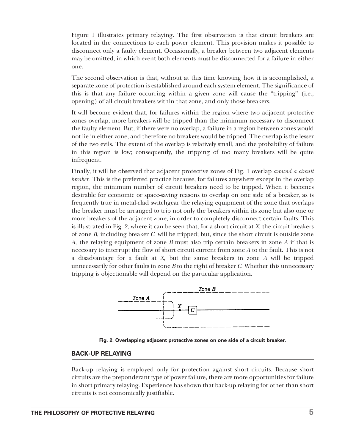Figure 1 illustrates primary relaying. The first observation is that circuit breakers are located in the connections to each power element. This provision makes it possible to disconnect only a faulty element. Occasionally, a breaker between two adjacent elements may be omitted, in which event both elements must be disconnected for a failure in either one.

The second observation is that, without at this time knowing how it is accomplished, a separate zone of protection is established around each system element. The significance of this is that any failure occurring within a given zone will cause the "tripping" (i.e., opening) of all circuit breakers within that zone, and only those breakers.

It will become evident that, for failures within the region where two adjacent protective zones overlap, more breakers will be tripped than the minimum necessary to disconnect the faulty element. But, if there were no overlap, a failure in a region between zones would not lie in either zone, and therefore no breakers would be tripped. The overlap is the lesser of the two evils. The extent of the overlap is relatively small, and the probability of failure in this region is low; consequently, the tripping of too many breakers will be quite infrequent.

Finally, it will be observed that adjacent protective zones of Fig. 1 overlap *around a circuit* breaker. This is the preferred practice because, for failures anywhere except in the overlap region, the minimum number of circuit breakers need to be tripped. When it becomes desirable for economic or space-saving reasons to overlap on one side of a breaker, as is frequently true in metal-clad switchgear the relaying equipment of the zone that overlaps the breaker must be arranged to trip not only the breakers within its zone but also one or more breakers of the adjacent zone, in order to completely disconnect certain faults. This is illustrated in Fig. 2, where it can be seen that, for a short circuit at X, the circuit breakers of zone  $B$ , including breaker  $C$ , will be tripped; but, since the short circuit is outside zone A, the relaying equipment of zone B must also trip certain breakers in zone A if that is necessary to interrupt the flow of short circuit current from zone A to the fault. This is not a disadvantage for a fault at X, but the same breakers in zone A will be tripped unnecessarily for other faults in zone  $B$  to the right of breaker  $C$ . Whether this unnecessary tripping is objectionable will depend on the particular application.



Fig. 2. Overlapping adjacent protective zones on one side of a circuit breaker.

#### BACK-UP RELAYING

Back-up relaying is employed only for protection against short circuits. Because short circuits are the preponderant type of power failure, there are more opportunities for failure in short primary relaying. Experience has shown that back-up relaying for other than short circuits is not economically justifiable.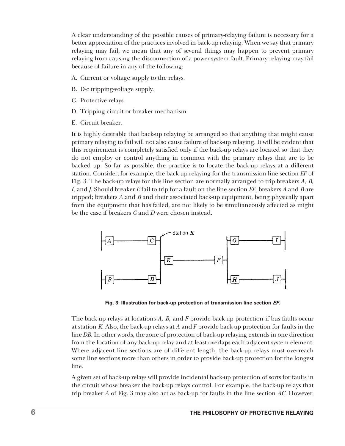A clear understanding of the possible causes of primary-relaying failure is necessary for a better appreciation of the practices involved in back-up relaying. When we say that primary relaying may fail, we mean that any of several things may happen to prevent primary relaying from causing the disconnection of a power-system fault. Primary relaying may fail because of failure in any of the following:

- A. Current or voltage supply to the relays.
- B. D-c tripping-voltage supply.
- C. Protective relays.
- D. Tripping circuit or breaker mechanism.
- E. Circuit breaker.

It is highly desirable that back-up relaying be arranged so that anything that might cause primary relaying to fail will not also cause failure of back-up relaying. It will be evident that this requirement is completely satisfied only if the back-up relays are located so that they do not employ or control anything in common with the primary relays that are to be backed up. So far as possible, the practice is to locate the back-up relays at a different station. Consider, for example, the back-up relaying for the transmission line section  $E\!F$  of Fig. 3. The back-up relays for this line section are normally arranged to trip breakers A, B, I, and J. Should breaker E fail to trip for a fault on the line section  $E$ F, breakers A and B are tripped; breakers  $A$  and  $B$  and their associated back-up equipment, being physically apart from the equipment that has failed, are not likely to be simultaneously affected as might be the case if breakers C and D were chosen instead.



Fig. 3. Illustration for back-up protection of transmission line section EF.

The back-up relays at locations  $A$ ,  $B$ , and  $F$  provide back-up protection if bus faults occur at station K. Also, the back-up relays at A and F provide back-up protection for faults in the line DB. In other words, the zone of protection of back-up relaying extends in one direction from the location of any back-up relay and at least overlaps each adjacent system element. Where adjacent line sections are of different length, the back-up relays must overreach some line sections more than others in order to provide back-up protection for the longest line.

A given set of back-up relays will provide incidental back-up protection of sorts for faults in the circuit whose breaker the back-up relays control. For example, the back-up relays that trip breaker A of Fig. 3 may also act as back-up for faults in the line section AC. However,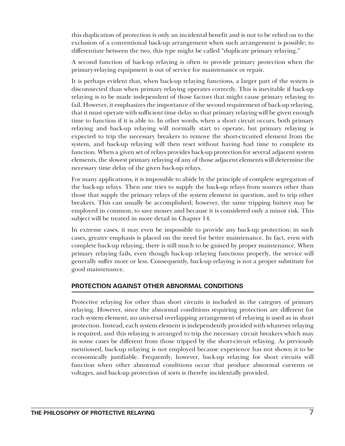this duplication of protection is only an incidental benefit and is not to be relied on to the exclusion of a conventional back-up arrangement when such arrangement is possible; to differentiate between the two, this type might be called "duplicate primary relaying."

A second function of back-up relaying is often to provide primary protection when the primary-relaying equipment is out of service for maintenance or repair.

It is perhaps evident that, when back-up relaying functions, a larger part of the system is disconnected than when primary relaying operates correctly. This is inevitable if back-up relaying is to be made independent of those factors that might cause primary relaying to fail. However, it emphasizes the importance of the second requirement of back-up relaying, that it must operate with sufficient time delay so that primary relaying will be given enough time to function if it is able to. In other words, when a short circuit occurs, both primary relaying and back-up relaying will normally start to operate, but primary relaying is expected to trip the necessary breakers to remove the short-circuited element from the system, and back-up relaying will then reset without having had time to complete its function. When a given set of relays provides back-up protection for several adjacent system elements, the slowest primary relaying of any of those adjacent elements will determine the necessary time delay of the given back-up relays.

For many applications, it is impossible to abide by the principle of complete segregation of the back-up relays. Then one tries to supply the back-up relays from sources other than those that supply the primary relays of the system element in question, and to trip other breakers. This can usually be accomplished; however, the same tripping battery may be employed in common, to save money and because it is considered only a minor risk. This subject will be treated in more detail in Chapter 14.

In extreme cases, it may even be impossible to provide any back-up protection; in such cases, greater emphasis is placed on the need for better maintenance. In fact, even with complete back-up relaying, there is still much to be gained by proper maintenance. When primary relaying fails, even though back-up relaying functions properly, the service will generally suffer more or less. Consequently, back-up relaying is not a proper substitute for good maintenance.

#### PROTECTION AGAINST OTHER ABNORMAL CONDITIONS

Protective relaying for other than short circuits is included in the category of primary relaying. However, since the abnormal conditions requiring protection are different for each system element, no universal overlapping arrangement of relaying is used as in short protection. Instead, each system element is independently provided with whatever relaying is required, and this relaying is arranged to trip the necessary circuit breakers which may in some cases be different from those tripped by the short-circuit relaying. As previously mentioned, back-up relaying is not employed because experience has not shown it to be economically justifiable. Frequently, however, back-up relaying for short circuits will function when other abnormal conditions occur that produce abnormal currents or voltages, and back-up protection of sorts is thereby incidentally provided.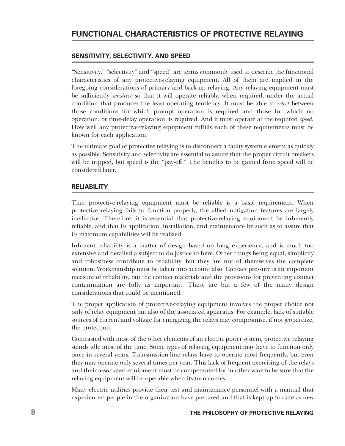#### SENSITIVITY, SELECTIVITY, AND SPEED

"Sensitivity," "selectivity" and "speed" are terms commonly used to describe the functional characteristics of any protective-relaying equipment. All of them are implied in the foregoing considerations of primary and back-up relaying. Any relaying equipment must be sufficiently sensitive so that it will operate reliably, when required, under the actual condition that produces the least operating tendency. It must be able to select between those conditions for which prompt operation is required and those for which no operation, or time-delay operation, is required. And it must operate at the required speed. How well any protective-relaying equipment fulfills each of these requirements must be known for each application.

The ultimate goal of protective relaying is to disconnect a faulty system element as quickly as possible. Sensitivity and selectivity are essential to assure that the proper circuit breakers will be tripped, but speed is the "pay-off." The benefits to be gained from speed will be considered later.

#### **RELIABILITY**

That protective-relaying equipment must be reliable is a basic requirement. When protective relaying fails to function properly, the allied mitigation features are largely ineffective. Therefore, it is essential that protective-relaying equipment be inherently reliable, and that its application, installation, and maintenance be such as to assure that its maximum capabilities will be realized.

Inherent reliability is a matter of design based on long experience, and is much too extensive and detailed a subject to do justice to here. Other things being equal, simplicity and robustness contribute to reliability, but they are not of themselves the complete solution. Workmanship must be taken into account also. Contact pressure is an important measure of reliability, but the contact materials and the provisions for preventing contact contamination are fully as important. These are but a few of the many design considerations that could be mentioned.

The proper application of protective-relaying equipment involves the proper choice not only of relay equipment but also of the associated apparatus. For example, lack of suitable sources of current and voltage for energizing the relays may compromise, if not jeopardize, the protection.

Contrasted with most of the other elements of an electric power system, protective relaying stands idle most of the time. Some types of relaying equipment may have to function only once in several years. Transmission-line relays have to operate most frequently, but even they may operate only several times per year. This lack of frequent exercising of the relays and their associated equipment must be compensated for in other ways to be sure that the relaying equipment will be operable when its turn comes.

Many electric utilities provide their test and maintenance personnel with a manual that experienced people in the organization have prepared and that is kept up to date as new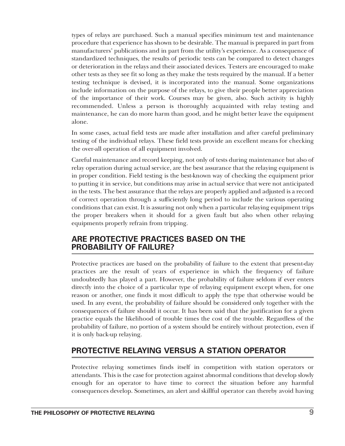types of relays are purchased. Such a manual specifies minimum test and maintenance procedure that experience has shown to be desirable. The manual is prepared in part from manufacturers' publications and in part from the utility's experience. As a consequence of standardized techniques, the results of periodic tests can be compared to detect changes or deterioration in the relays and their associated devices. Testers are encouraged to make other tests as they see fit so long as they make the tests required by the manual. If a better testing technique is devised, it is incorporated into the manual. Some organizations include information on the purpose of the relays, to give their people better appreciation of the importance of their work. Courses may be given, also. Such activity is highly recommended. Unless a person is thoroughly acquainted with relay testing and maintenance, he can do more harm than good, and he might better leave the equipment alone.

In some cases, actual field tests are made after installation and after careful preliminary testing of the individual relays. These field tests provide an excellent means for checking the over-all operation of all equipment involved.

Careful maintenance and record keeping, not only of tests during maintenance but also of relay operation during actual service, are the best assurance that the relaying equipment is in proper condition. Field testing is the best-known way of checking the equipment prior to putting it in service, but conditions may arise in actual service that were not anticipated in the tests. The best assurance that the relays are properly applied and adjusted is a record of correct operation through a sufficiently long period to include the various operating conditions that can exist. It is assuring not only when a particular relaying equipment trips the proper breakers when it should for a given fault but also when other relaying equipments properly refrain from tripping.

### ARE PROTECTIVE PRACTICES BASED ON THE PROBABILITY OF FAILURE?

Protective practices are based on the probability of failure to the extent that present-day practices are the result of years of experience in which the frequency of failure undoubtedly has played a part. However, the probability of failure seldom if ever enters directly into the choice of a particular type of relaying equipment except when, for one reason or another, one finds it most difficult to apply the type that otherwise would be used. In any event, the probability of failure should be considered only together with the consequences of failure should it occur. It has been said that the justification for a given practice equals the likelihood of trouble times the cost of the trouble. Regardless of the probability of failure, no portion of a system should be entirely without protection, even if it is only back-up relaying.

# PROTECTIVE RELAYING VERSUS A STATION OPERATOR

Protective relaying sometimes finds itself in competition with station operators or attendants. This is the case for protection against abnormal conditions that develop slowly enough for an operator to have time to correct the situation before any harmful consequences develop. Sometimes, an alert and skillful operator can thereby avoid having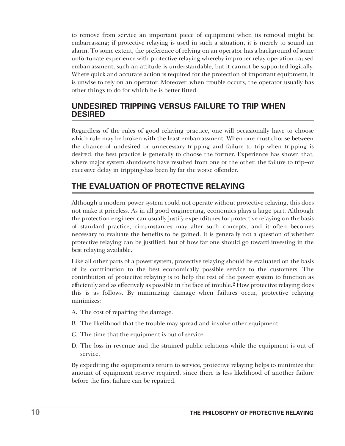to remove from service an important piece of equipment when its removal might be embarrassing; if protective relaying is used in such a situation, it is merely to sound an alarm. To some extent, the preference of relying on an operator has a background of some unfortunate experience with protective relaying whereby improper relay operation caused embarrassment; such an attitude is understandable, but it cannot be supported logically. Where quick and accurate action is required for the protection of important equipment, it is unwise to rely on an operator. Moreover, when trouble occurs, the operator usually has other things to do for which he is better fitted.

### UNDESIRED TRIPPING VERSUS FAILURE TO TRIP WHEN DESIRED

Regardless of the rules of good relaying practice, one will occasionally have to choose which rule may be broken with the least embarrassment. When one must choose between the chance of undesired or unnecessary tripping and failure to trip when tripping is desired, the best practice is generally to choose the former. Experience has shown that, where major system shutdowns have resulted from one or the other, the failure to trip–or excessive delay in tripping-has been by far the worse offender.

# THE EVALUATION OF PROTECTIVE RELAYING

Although a modern power system could not operate without protective relaying, this does not make it priceless. As in all good engineering, economics plays a large part. Although the protection engineer can usually justify expenditures for protective relaying on the basis of standard practice, circumstances may alter such concepts, and it often becomes necessary to evaluate the benefits to be gained. It is generally not a question of whether protective relaying can be justified, but of how far one should go toward investing in the best relaying available.

Like all other parts of a power system, protective relaying should be evaluated on the basis of its contribution to the best economically possible service to the customers. The contribution of protective relaying is to help the rest of the power system to function as efficiently and as effectively as possible in the face of trouble.2 How protective relaying does this is as foIlows. By minimizing damage when failures occur, protective relaying minimizes:

- A. The cost of repairing the damage.
- B. The likelihood that the trouble may spread and involve other equipment.
- C. The time that the equipment is out of service.
- D. The loss in revenue and the strained public relations while the equipment is out of service.

By expediting the equipment's return to service, protective relaying helps to minimize the amount of equipment reserve required, since there is less likelihood of another failure before the first failure can be repaired.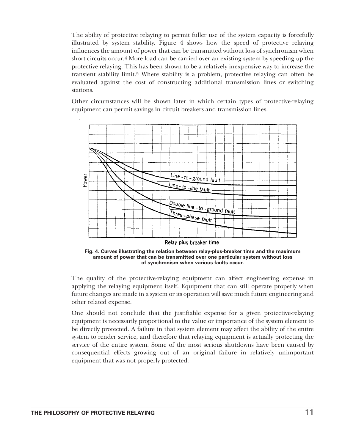The ability of protective relaying to permit fuller use of the system capacity is forcefully illustrated by system stability. Figure 4 shows how the speed of protective relaying influences the amount of power that can be transmitted without loss of synchronism when short circuits occur.4 More load can be carried over an existing system by speeding up the protective relaying. This has been shown to be a relatively inexpensive way to increase the transient stability limit.5 Where stability is a problem, protective relaying can often be evaluated against the cost of constructing additional transmission lines or switching stations.

Other circumstances will be shown later in which certain types of protective-relaying equipment can permit savings in circuit breakers and transmission lines.



Fig. 4. Curves illustrating the relation between relay-plus-breaker time and the maximum amount of power that can be transmitted over one particular system without loss of synchronism when various faults occur.

The quality of the protective-relaying equipment can affect engineering expense in applying the relaying equipment itself. Equipment that can still operate properly when future changes are made in a system or its operation will save much future engineering and other related expense.

One should not conclude that the justifiable expense for a given protective-relaying equipment is necessarily proportional to the value or importance of the system element to be directly protected. A failure in that system element may affect the ability of the entire system to render service, and therefore that relaying equipment is actually protecting the service of the entire system. Some of the most serious shutdowns have been caused by consequential effects growing out of an original failure in relatively unimportant equipment that was not properly protected.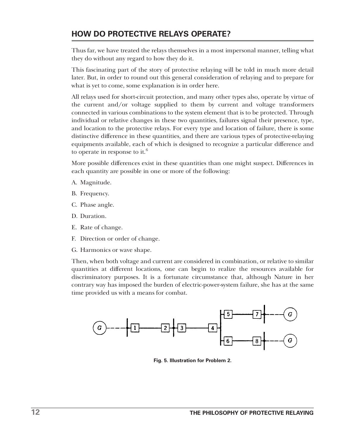# HOW DO PROTECTIVE RELAYS OPERATE?

Thus far, we have treated the relays themselves in a most impersonal manner, telling what they do without any regard to how they do it.

This fascinating part of the story of protective relaying will be told in much more detail later. But, in order to round out this general consideration of relaying and to prepare for what is yet to come, some explanation is in order here.

All relays used for short-circuit protection, and many other types also, operate by virtue of the current and/or voltage supplied to them by current and voltage transformers connected in various combinations to the system element that is to be protected. Through individual or relative changes in these two quantities, failures signal their presence, type, and location to the protective relays. For every type and location of failure, there is some distinctive difference in these quantities, and there are various types of protective-relaying equipments available, each of which is designed to recognize a particular difference and to operate in response to it. $6$ 

More possible differences exist in these quantities than one might suspect. Differences in each quantity are possible in one or more of the following:

- A. Magnitude.
- B. Frequency.
- C. Phase angle.
- D. Duration.
- E. Rate of change.
- F. Direction or order of change.
- G. Harmonics or wave shape.

Then, when both voltage and current are considered in combination, or relative to similar quantities at different locations, one can begin to realize the resources available for discriminatory purposes. It is a fortunate circumstance that, although Nature in her contrary way has imposed the burden of electric-power-system failure, she has at the same time provided us with a means for combat.



Fig. 5. Illustration for Problem 2.